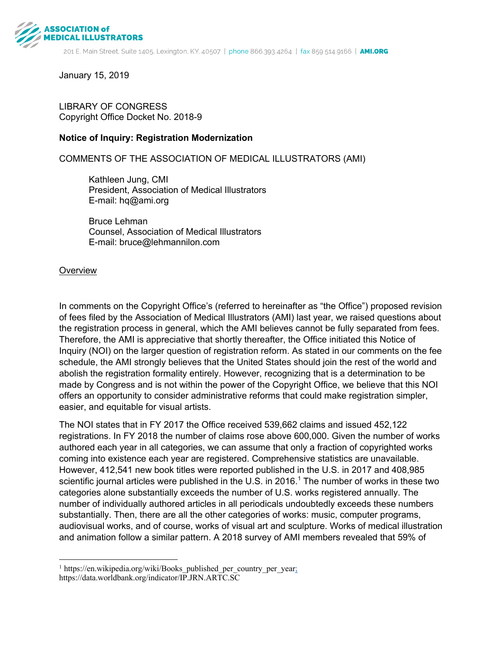

January 15, 2019

#### LIBRARY OF CONGRESS Copyright Office Docket No. 2018-9

#### **Notice of Inquiry: Registration Modernization**

#### COMMENTS OF THE ASSOCIATION OF MEDICAL ILLUSTRATORS (AMI)

Kathleen Jung, CMI President, Association of Medical Illustrators E-mail: hq@ami.org

Bruce Lehman Counsel, Association of Medical Illustrators E-mail: bruce@lehmannilon.com

#### **Overview**

 $\overline{a}$ 

In comments on the Copyright Office's (referred to hereinafter as "the Office") proposed revision of fees filed by the Association of Medical Illustrators (AMI) last year, we raised questions about the registration process in general, which the AMI believes cannot be fully separated from fees. Therefore, the AMI is appreciative that shortly thereafter, the Office initiated this Notice of Inquiry (NOI) on the larger question of registration reform. As stated in our comments on the fee schedule, the AMI strongly believes that the United States should join the rest of the world and abolish the registration formality entirely. However, recognizing that is a determination to be made by Congress and is not within the power of the Copyright Office, we believe that this NOI offers an opportunity to consider administrative reforms that could make registration simpler, easier, and equitable for visual artists.

The NOI states that in FY 2017 the Office received 539,662 claims and issued 452,122 registrations. In FY 2018 the number of claims rose above 600,000. Given the number of works authored each year in all categories, we can assume that only a fraction of copyrighted works coming into existence each year are registered. Comprehensive statistics are unavailable. However, 412,541 new book titles were reported published in the U.S. in 2017 and 408,985 scientific journal articles were published in the U.S. in 2016.<sup>1</sup> The number of works in these two categories alone substantially exceeds the number of U.S. works registered annually. The number of individually authored articles in all periodicals undoubtedly exceeds these numbers substantially. Then, there are all the other categories of works: music, computer programs, audiovisual works, and of course, works of visual art and sculpture. Works of medical illustration and animation follow a similar pattern. A 2018 survey of AMI members revealed that 59% of

 $1$  https://en.wikipedia.org/wiki/Books published per country per year; https://data.worldbank.org/indicator/IP.JRN.ARTC.SC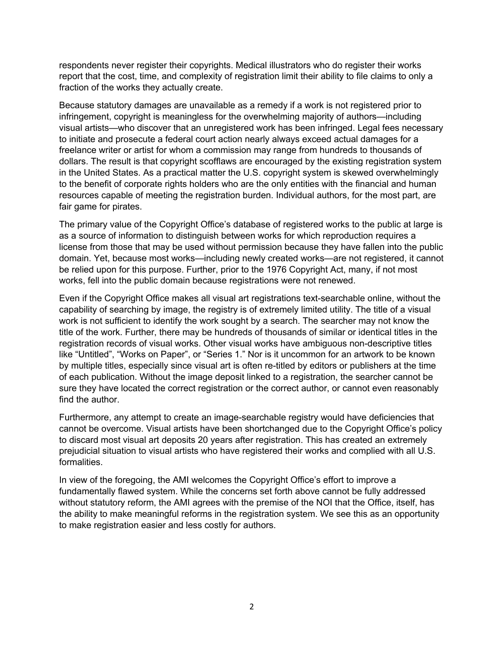respondents never register their copyrights. Medical illustrators who do register their works report that the cost, time, and complexity of registration limit their ability to file claims to only a fraction of the works they actually create.

Because statutory damages are unavailable as a remedy if a work is not registered prior to infringement, copyright is meaningless for the overwhelming majority of authors—including visual artists—who discover that an unregistered work has been infringed. Legal fees necessary to initiate and prosecute a federal court action nearly always exceed actual damages for a freelance writer or artist for whom a commission may range from hundreds to thousands of dollars. The result is that copyright scofflaws are encouraged by the existing registration system in the United States. As a practical matter the U.S. copyright system is skewed overwhelmingly to the benefit of corporate rights holders who are the only entities with the financial and human resources capable of meeting the registration burden. Individual authors, for the most part, are fair game for pirates.

The primary value of the Copyright Office's database of registered works to the public at large is as a source of information to distinguish between works for which reproduction requires a license from those that may be used without permission because they have fallen into the public domain. Yet, because most works—including newly created works—are not registered, it cannot be relied upon for this purpose. Further, prior to the 1976 Copyright Act, many, if not most works, fell into the public domain because registrations were not renewed.

Even if the Copyright Office makes all visual art registrations text-searchable online, without the capability of searching by image, the registry is of extremely limited utility. The title of a visual work is not sufficient to identify the work sought by a search. The searcher may not know the title of the work. Further, there may be hundreds of thousands of similar or identical titles in the registration records of visual works. Other visual works have ambiguous non-descriptive titles like "Untitled", "Works on Paper", or "Series 1." Nor is it uncommon for an artwork to be known by multiple titles, especially since visual art is often re-titled by editors or publishers at the time of each publication. Without the image deposit linked to a registration, the searcher cannot be sure they have located the correct registration or the correct author, or cannot even reasonably find the author.

Furthermore, any attempt to create an image-searchable registry would have deficiencies that cannot be overcome. Visual artists have been shortchanged due to the Copyright Office's policy to discard most visual art deposits 20 years after registration. This has created an extremely prejudicial situation to visual artists who have registered their works and complied with all U.S. formalities.

In view of the foregoing, the AMI welcomes the Copyright Office's effort to improve a fundamentally flawed system. While the concerns set forth above cannot be fully addressed without statutory reform, the AMI agrees with the premise of the NOI that the Office, itself, has the ability to make meaningful reforms in the registration system. We see this as an opportunity to make registration easier and less costly for authors.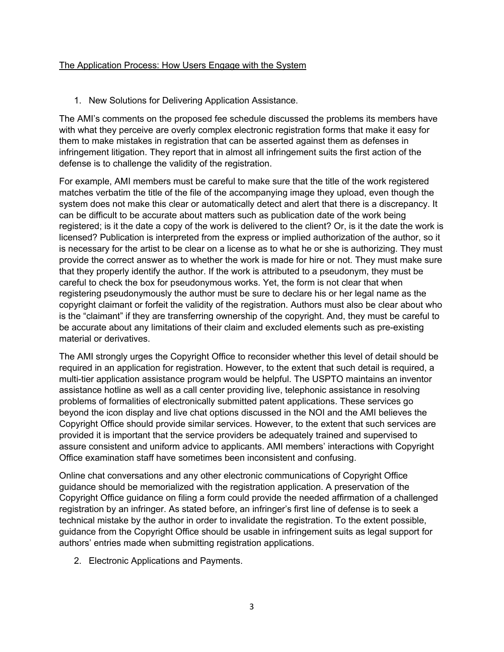## The Application Process: How Users Engage with the System

1. New Solutions for Delivering Application Assistance.

The AMI's comments on the proposed fee schedule discussed the problems its members have with what they perceive are overly complex electronic registration forms that make it easy for them to make mistakes in registration that can be asserted against them as defenses in infringement litigation. They report that in almost all infringement suits the first action of the defense is to challenge the validity of the registration.

For example, AMI members must be careful to make sure that the title of the work registered matches verbatim the title of the file of the accompanying image they upload, even though the system does not make this clear or automatically detect and alert that there is a discrepancy. It can be difficult to be accurate about matters such as publication date of the work being registered; is it the date a copy of the work is delivered to the client? Or, is it the date the work is licensed? Publication is interpreted from the express or implied authorization of the author, so it is necessary for the artist to be clear on a license as to what he or she is authorizing. They must provide the correct answer as to whether the work is made for hire or not. They must make sure that they properly identify the author. If the work is attributed to a pseudonym, they must be careful to check the box for pseudonymous works. Yet, the form is not clear that when registering pseudonymously the author must be sure to declare his or her legal name as the copyright claimant or forfeit the validity of the registration. Authors must also be clear about who is the "claimant" if they are transferring ownership of the copyright. And, they must be careful to be accurate about any limitations of their claim and excluded elements such as pre-existing material or derivatives.

The AMI strongly urges the Copyright Office to reconsider whether this level of detail should be required in an application for registration. However, to the extent that such detail is required, a multi-tier application assistance program would be helpful. The USPTO maintains an inventor assistance hotline as well as a call center providing live, telephonic assistance in resolving problems of formalities of electronically submitted patent applications. These services go beyond the icon display and live chat options discussed in the NOI and the AMI believes the Copyright Office should provide similar services. However, to the extent that such services are provided it is important that the service providers be adequately trained and supervised to assure consistent and uniform advice to applicants. AMI members' interactions with Copyright Office examination staff have sometimes been inconsistent and confusing.

Online chat conversations and any other electronic communications of Copyright Office guidance should be memorialized with the registration application. A preservation of the Copyright Office guidance on filing a form could provide the needed affirmation of a challenged registration by an infringer. As stated before, an infringer's first line of defense is to seek a technical mistake by the author in order to invalidate the registration. To the extent possible, guidance from the Copyright Office should be usable in infringement suits as legal support for authors' entries made when submitting registration applications.

2. Electronic Applications and Payments.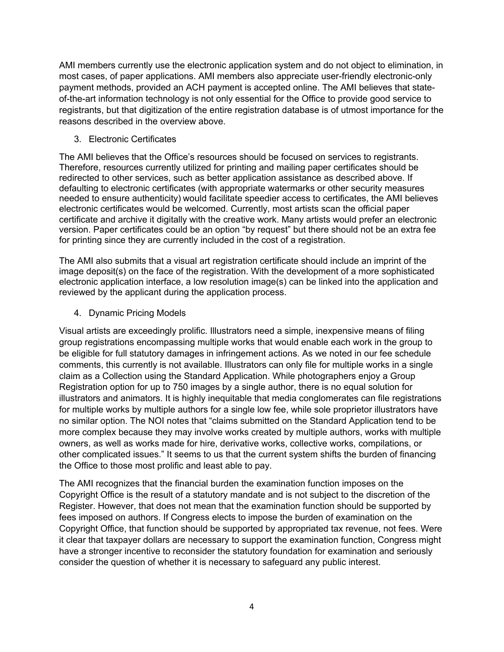AMI members currently use the electronic application system and do not object to elimination, in most cases, of paper applications. AMI members also appreciate user-friendly electronic-only payment methods, provided an ACH payment is accepted online. The AMI believes that stateof-the-art information technology is not only essential for the Office to provide good service to registrants, but that digitization of the entire registration database is of utmost importance for the reasons described in the overview above.

### 3. Electronic Certificates

The AMI believes that the Office's resources should be focused on services to registrants. Therefore, resources currently utilized for printing and mailing paper certificates should be redirected to other services, such as better application assistance as described above. If defaulting to electronic certificates (with appropriate watermarks or other security measures needed to ensure authenticity) would facilitate speedier access to certificates, the AMI believes electronic certificates would be welcomed. Currently, most artists scan the official paper certificate and archive it digitally with the creative work. Many artists would prefer an electronic version. Paper certificates could be an option "by request" but there should not be an extra fee for printing since they are currently included in the cost of a registration.

The AMI also submits that a visual art registration certificate should include an imprint of the image deposit(s) on the face of the registration. With the development of a more sophisticated electronic application interface, a low resolution image(s) can be linked into the application and reviewed by the applicant during the application process.

4. Dynamic Pricing Models

Visual artists are exceedingly prolific. Illustrators need a simple, inexpensive means of filing group registrations encompassing multiple works that would enable each work in the group to be eligible for full statutory damages in infringement actions. As we noted in our fee schedule comments, this currently is not available. Illustrators can only file for multiple works in a single claim as a Collection using the Standard Application. While photographers enjoy a Group Registration option for up to 750 images by a single author, there is no equal solution for illustrators and animators. It is highly inequitable that media conglomerates can file registrations for multiple works by multiple authors for a single low fee, while sole proprietor illustrators have no similar option. The NOI notes that "claims submitted on the Standard Application tend to be more complex because they may involve works created by multiple authors, works with multiple owners, as well as works made for hire, derivative works, collective works, compilations, or other complicated issues." It seems to us that the current system shifts the burden of financing the Office to those most prolific and least able to pay.

The AMI recognizes that the financial burden the examination function imposes on the Copyright Office is the result of a statutory mandate and is not subject to the discretion of the Register. However, that does not mean that the examination function should be supported by fees imposed on authors. If Congress elects to impose the burden of examination on the Copyright Office, that function should be supported by appropriated tax revenue, not fees. Were it clear that taxpayer dollars are necessary to support the examination function, Congress might have a stronger incentive to reconsider the statutory foundation for examination and seriously consider the question of whether it is necessary to safeguard any public interest.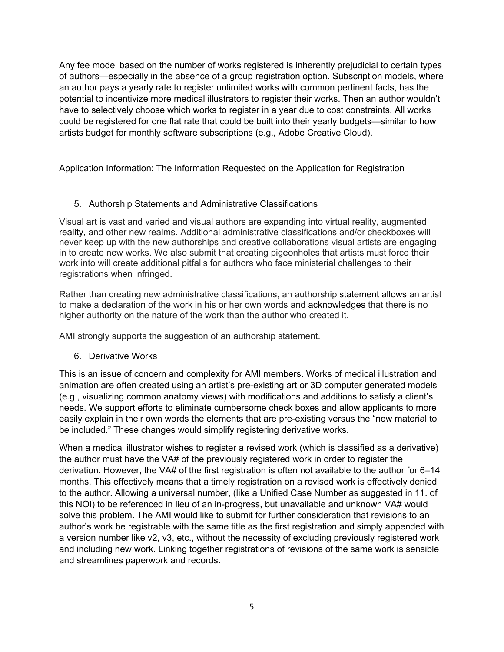Any fee model based on the number of works registered is inherently prejudicial to certain types of authors—especially in the absence of a group registration option. Subscription models, where an author pays a yearly rate to register unlimited works with common pertinent facts, has the potential to incentivize more medical illustrators to register their works. Then an author wouldn't have to selectively choose which works to register in a year due to cost constraints. All works could be registered for one flat rate that could be built into their yearly budgets—similar to how artists budget for monthly software subscriptions (e.g., Adobe Creative Cloud).

# Application Information: The Information Requested on the Application for Registration

## 5. Authorship Statements and Administrative Classifications

Visual art is vast and varied and visual authors are expanding into virtual reality, augmented reality, and other new realms. Additional administrative classifications and/or checkboxes will never keep up with the new authorships and creative collaborations visual artists are engaging in to create new works. We also submit that creating pigeonholes that artists must force their work into will create additional pitfalls for authors who face ministerial challenges to their registrations when infringed.

Rather than creating new administrative classifications, an authorship statement allows an artist to make a declaration of the work in his or her own words and acknowledges that there is no higher authority on the nature of the work than the author who created it.

AMI strongly supports the suggestion of an authorship statement.

6. Derivative Works

This is an issue of concern and complexity for AMI members. Works of medical illustration and animation are often created using an artist's pre-existing art or 3D computer generated models (e.g., visualizing common anatomy views) with modifications and additions to satisfy a client's needs. We support efforts to eliminate cumbersome check boxes and allow applicants to more easily explain in their own words the elements that are pre-existing versus the "new material to be included." These changes would simplify registering derivative works.

When a medical illustrator wishes to register a revised work (which is classified as a derivative) the author must have the VA# of the previously registered work in order to register the derivation. However, the VA# of the first registration is often not available to the author for 6–14 months. This effectively means that a timely registration on a revised work is effectively denied to the author. Allowing a universal number, (like a Unified Case Number as suggested in 11. of this NOI) to be referenced in lieu of an in-progress, but unavailable and unknown VA# would solve this problem. The AMI would like to submit for further consideration that revisions to an author's work be registrable with the same title as the first registration and simply appended with a version number like v2, v3, etc., without the necessity of excluding previously registered work and including new work. Linking together registrations of revisions of the same work is sensible and streamlines paperwork and records.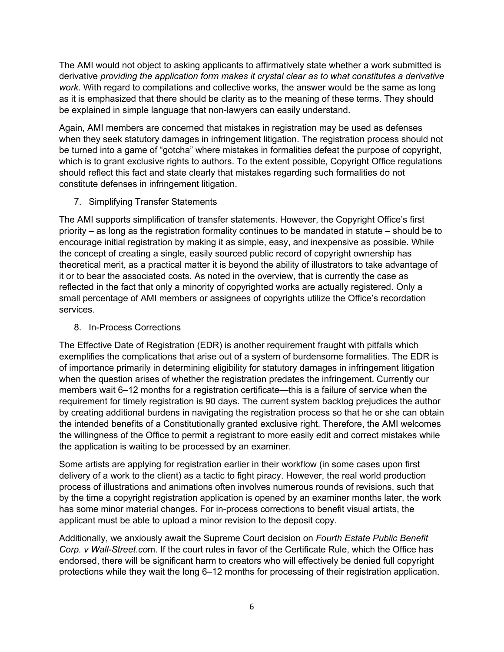The AMI would not object to asking applicants to affirmatively state whether a work submitted is derivative *providing the application form makes it crystal clear as to what constitutes a derivative work*. With regard to compilations and collective works, the answer would be the same as long as it is emphasized that there should be clarity as to the meaning of these terms. They should be explained in simple language that non-lawyers can easily understand.

Again, AMI members are concerned that mistakes in registration may be used as defenses when they seek statutory damages in infringement litigation. The registration process should not be turned into a game of "gotcha" where mistakes in formalities defeat the purpose of copyright, which is to grant exclusive rights to authors. To the extent possible, Copyright Office regulations should reflect this fact and state clearly that mistakes regarding such formalities do not constitute defenses in infringement litigation.

7. Simplifying Transfer Statements

The AMI supports simplification of transfer statements. However, the Copyright Office's first priority – as long as the registration formality continues to be mandated in statute – should be to encourage initial registration by making it as simple, easy, and inexpensive as possible. While the concept of creating a single, easily sourced public record of copyright ownership has theoretical merit, as a practical matter it is beyond the ability of illustrators to take advantage of it or to bear the associated costs. As noted in the overview, that is currently the case as reflected in the fact that only a minority of copyrighted works are actually registered. Only a small percentage of AMI members or assignees of copyrights utilize the Office's recordation services.

# 8. In-Process Corrections

The Effective Date of Registration (EDR) is another requirement fraught with pitfalls which exemplifies the complications that arise out of a system of burdensome formalities. The EDR is of importance primarily in determining eligibility for statutory damages in infringement litigation when the question arises of whether the registration predates the infringement. Currently our members wait 6–12 months for a registration certificate—this is a failure of service when the requirement for timely registration is 90 days. The current system backlog prejudices the author by creating additional burdens in navigating the registration process so that he or she can obtain the intended benefits of a Constitutionally granted exclusive right. Therefore, the AMI welcomes the willingness of the Office to permit a registrant to more easily edit and correct mistakes while the application is waiting to be processed by an examiner.

Some artists are applying for registration earlier in their workflow (in some cases upon first delivery of a work to the client) as a tactic to fight piracy. However, the real world production process of illustrations and animations often involves numerous rounds of revisions, such that by the time a copyright registration application is opened by an examiner months later, the work has some minor material changes. For in-process corrections to benefit visual artists, the applicant must be able to upload a minor revision to the deposit copy.

Additionally, we anxiously await the Supreme Court decision on *Fourth Estate Public Benefit Corp. v Wall-Street.co*m. If the court rules in favor of the Certificate Rule, which the Office has endorsed, there will be significant harm to creators who will effectively be denied full copyright protections while they wait the long 6–12 months for processing of their registration application.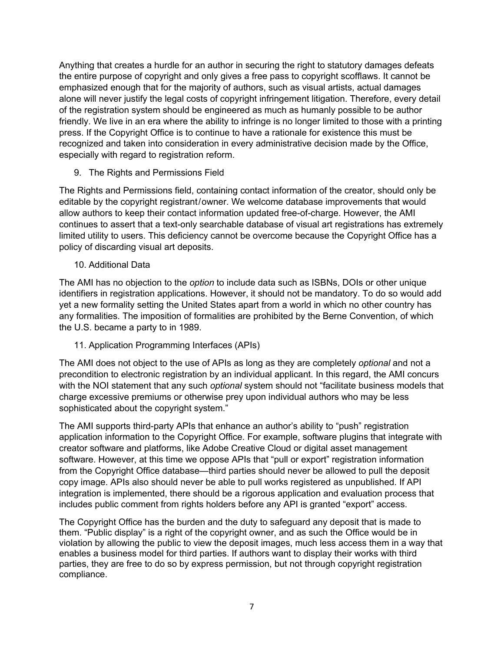Anything that creates a hurdle for an author in securing the right to statutory damages defeats the entire purpose of copyright and only gives a free pass to copyright scofflaws. It cannot be emphasized enough that for the majority of authors, such as visual artists, actual damages alone will never justify the legal costs of copyright infringement litigation. Therefore, every detail of the registration system should be engineered as much as humanly possible to be author friendly. We live in an era where the ability to infringe is no longer limited to those with a printing press. If the Copyright Office is to continue to have a rationale for existence this must be recognized and taken into consideration in every administrative decision made by the Office, especially with regard to registration reform.

9. The Rights and Permissions Field

The Rights and Permissions field, containing contact information of the creator, should only be editable by the copyright registrant/owner. We welcome database improvements that would allow authors to keep their contact information updated free-of-charge. However, the AMI continues to assert that a text-only searchable database of visual art registrations has extremely limited utility to users. This deficiency cannot be overcome because the Copyright Office has a policy of discarding visual art deposits.

10. Additional Data

The AMI has no objection to the *option* to include data such as ISBNs, DOIs or other unique identifiers in registration applications. However, it should not be mandatory. To do so would add yet a new formality setting the United States apart from a world in which no other country has any formalities. The imposition of formalities are prohibited by the Berne Convention, of which the U.S. became a party to in 1989.

11. Application Programming Interfaces (APIs)

The AMI does not object to the use of APIs as long as they are completely *optional* and not a precondition to electronic registration by an individual applicant. In this regard, the AMI concurs with the NOI statement that any such *optional* system should not "facilitate business models that charge excessive premiums or otherwise prey upon individual authors who may be less sophisticated about the copyright system."

The AMI supports third-party APIs that enhance an author's ability to "push" registration application information to the Copyright Office. For example, software plugins that integrate with creator software and platforms, like Adobe Creative Cloud or digital asset management software. However, at this time we oppose APIs that "pull or export" registration information from the Copyright Office database—third parties should never be allowed to pull the deposit copy image. APIs also should never be able to pull works registered as unpublished. If API integration is implemented, there should be a rigorous application and evaluation process that includes public comment from rights holders before any API is granted "export" access.

The Copyright Office has the burden and the duty to safeguard any deposit that is made to them. "Public display" is a right of the copyright owner, and as such the Office would be in violation by allowing the public to view the deposit images, much less access them in a way that enables a business model for third parties. If authors want to display their works with third parties, they are free to do so by express permission, but not through copyright registration compliance.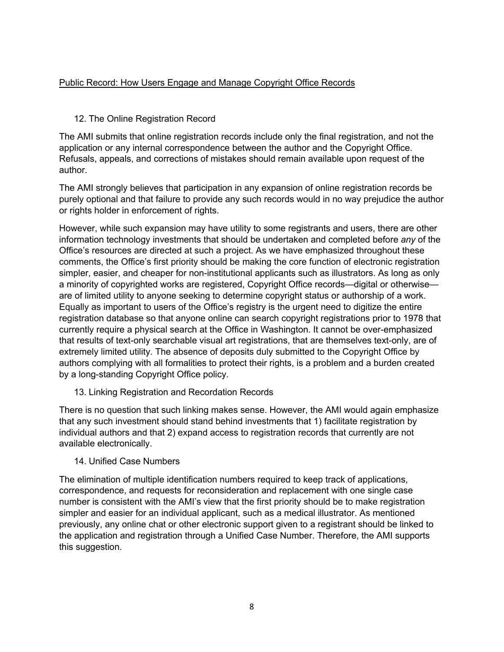## Public Record: How Users Engage and Manage Copyright Office Records

## 12. The Online Registration Record

The AMI submits that online registration records include only the final registration, and not the application or any internal correspondence between the author and the Copyright Office. Refusals, appeals, and corrections of mistakes should remain available upon request of the author.

The AMI strongly believes that participation in any expansion of online registration records be purely optional and that failure to provide any such records would in no way prejudice the author or rights holder in enforcement of rights.

However, while such expansion may have utility to some registrants and users, there are other information technology investments that should be undertaken and completed before *any* of the Office's resources are directed at such a project. As we have emphasized throughout these comments, the Office's first priority should be making the core function of electronic registration simpler, easier, and cheaper for non-institutional applicants such as illustrators. As long as only a minority of copyrighted works are registered, Copyright Office records—digital or otherwise are of limited utility to anyone seeking to determine copyright status or authorship of a work. Equally as important to users of the Office's registry is the urgent need to digitize the entire registration database so that anyone online can search copyright registrations prior to 1978 that currently require a physical search at the Office in Washington. It cannot be over-emphasized that results of text-only searchable visual art registrations, that are themselves text-only, are of extremely limited utility. The absence of deposits duly submitted to the Copyright Office by authors complying with all formalities to protect their rights, is a problem and a burden created by a long-standing Copyright Office policy.

### 13. Linking Registration and Recordation Records

There is no question that such linking makes sense. However, the AMI would again emphasize that any such investment should stand behind investments that 1) facilitate registration by individual authors and that 2) expand access to registration records that currently are not available electronically.

### 14. Unified Case Numbers

The elimination of multiple identification numbers required to keep track of applications, correspondence, and requests for reconsideration and replacement with one single case number is consistent with the AMI's view that the first priority should be to make registration simpler and easier for an individual applicant, such as a medical illustrator. As mentioned previously, any online chat or other electronic support given to a registrant should be linked to the application and registration through a Unified Case Number. Therefore, the AMI supports this suggestion.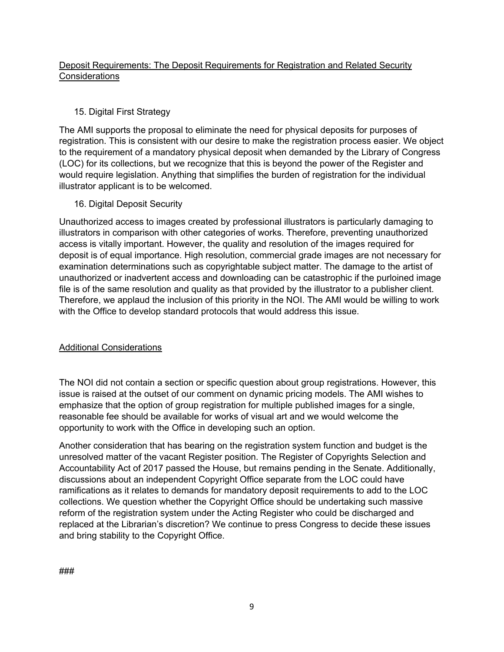# Deposit Requirements: The Deposit Requirements for Registration and Related Security **Considerations**

# 15. Digital First Strategy

The AMI supports the proposal to eliminate the need for physical deposits for purposes of registration. This is consistent with our desire to make the registration process easier. We object to the requirement of a mandatory physical deposit when demanded by the Library of Congress (LOC) for its collections, but we recognize that this is beyond the power of the Register and would require legislation. Anything that simplifies the burden of registration for the individual illustrator applicant is to be welcomed.

16. Digital Deposit Security

Unauthorized access to images created by professional illustrators is particularly damaging to illustrators in comparison with other categories of works. Therefore, preventing unauthorized access is vitally important. However, the quality and resolution of the images required for deposit is of equal importance. High resolution, commercial grade images are not necessary for examination determinations such as copyrightable subject matter. The damage to the artist of unauthorized or inadvertent access and downloading can be catastrophic if the purloined image file is of the same resolution and quality as that provided by the illustrator to a publisher client. Therefore, we applaud the inclusion of this priority in the NOI. The AMI would be willing to work with the Office to develop standard protocols that would address this issue.

# Additional Considerations

The NOI did not contain a section or specific question about group registrations. However, this issue is raised at the outset of our comment on dynamic pricing models. The AMI wishes to emphasize that the option of group registration for multiple published images for a single, reasonable fee should be available for works of visual art and we would welcome the opportunity to work with the Office in developing such an option.

Another consideration that has bearing on the registration system function and budget is the unresolved matter of the vacant Register position. The Register of Copyrights Selection and Accountability Act of 2017 passed the House, but remains pending in the Senate. Additionally, discussions about an independent Copyright Office separate from the LOC could have ramifications as it relates to demands for mandatory deposit requirements to add to the LOC collections. We question whether the Copyright Office should be undertaking such massive reform of the registration system under the Acting Register who could be discharged and replaced at the Librarian's discretion? We continue to press Congress to decide these issues and bring stability to the Copyright Office.